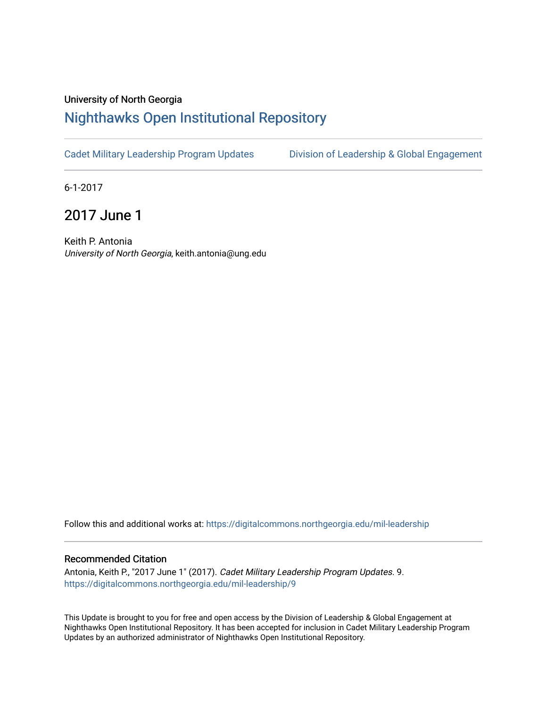## University of North Georgia

## [Nighthawks Open Institutional Repository](https://digitalcommons.northgeorgia.edu/)

[Cadet Military Leadership Program Updates](https://digitalcommons.northgeorgia.edu/mil-leadership) [Division of Leadership & Global Engagement](https://digitalcommons.northgeorgia.edu/leadership) 

6-1-2017

2017 June 1

Keith P. Antonia University of North Georgia, keith.antonia@ung.edu

Follow this and additional works at: [https://digitalcommons.northgeorgia.edu/mil-leadership](https://digitalcommons.northgeorgia.edu/mil-leadership?utm_source=digitalcommons.northgeorgia.edu%2Fmil-leadership%2F9&utm_medium=PDF&utm_campaign=PDFCoverPages) 

## Recommended Citation

Antonia, Keith P., "2017 June 1" (2017). Cadet Military Leadership Program Updates. 9. [https://digitalcommons.northgeorgia.edu/mil-leadership/9](https://digitalcommons.northgeorgia.edu/mil-leadership/9?utm_source=digitalcommons.northgeorgia.edu%2Fmil-leadership%2F9&utm_medium=PDF&utm_campaign=PDFCoverPages) 

This Update is brought to you for free and open access by the Division of Leadership & Global Engagement at Nighthawks Open Institutional Repository. It has been accepted for inclusion in Cadet Military Leadership Program Updates by an authorized administrator of Nighthawks Open Institutional Repository.